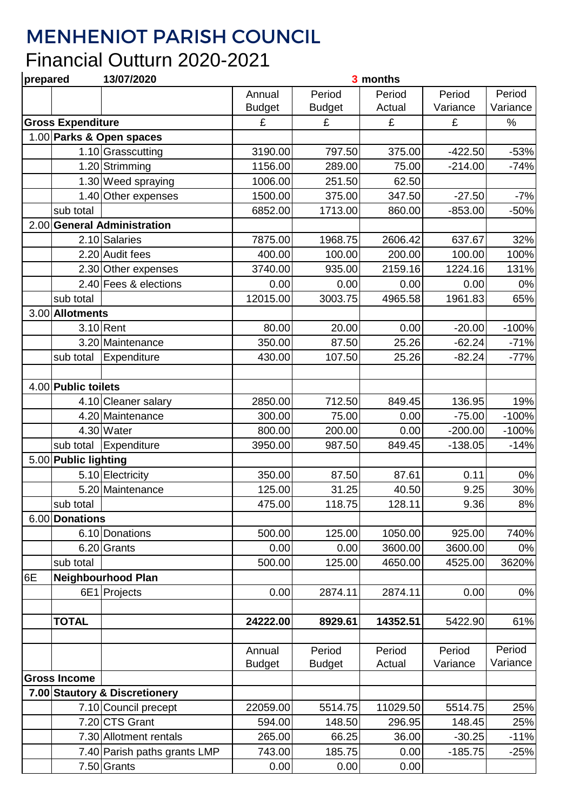## MENHENIOT PARISH COUNCIL

## Financial Outturn 2020-2021

| prepared                      |                          | 13/07/2020                   | 3 months      |               |          |           |          |  |
|-------------------------------|--------------------------|------------------------------|---------------|---------------|----------|-----------|----------|--|
|                               |                          |                              | Annual        | Period        | Period   | Period    | Period   |  |
|                               |                          |                              | <b>Budget</b> | <b>Budget</b> | Actual   | Variance  | Variance |  |
|                               | <b>Gross Expenditure</b> |                              | £             | £             | £        | £         | $\%$     |  |
|                               |                          | 1.00 Parks & Open spaces     |               |               |          |           |          |  |
|                               |                          | 1.10 Grasscutting            | 3190.00       | 797.50        | 375.00   | $-422.50$ | $-53%$   |  |
|                               |                          | 1.20 Strimming               | 1156.00       | 289.00        | 75.00    | $-214.00$ | $-74%$   |  |
|                               |                          | 1.30 Weed spraying           | 1006.00       | 251.50        | 62.50    |           |          |  |
|                               |                          | 1.40 Other expenses          | 1500.00       | 375.00        | 347.50   | $-27.50$  | $-7%$    |  |
|                               | sub total                |                              | 6852.00       | 1713.00       | 860.00   | $-853.00$ | $-50%$   |  |
|                               |                          | 2.00 General Administration  |               |               |          |           |          |  |
|                               |                          | 2.10 Salaries                | 7875.00       | 1968.75       | 2606.42  | 637.67    | 32%      |  |
|                               |                          | 2.20 Audit fees              | 400.00        | 100.00        | 200.00   | 100.00    | 100%     |  |
|                               |                          | 2.30 Other expenses          | 3740.00       | 935.00        | 2159.16  | 1224.16   | 131%     |  |
|                               |                          | 2.40 Fees & elections        | 0.00          | 0.00          | 0.00     | 0.00      | 0%       |  |
|                               | sub total                |                              | 12015.00      | 3003.75       | 4965.58  | 1961.83   | 65%      |  |
|                               | 3.00 Allotments          |                              |               |               |          |           |          |  |
|                               |                          | $3.10$ Rent                  | 80.00         | 20.00         | 0.00     | $-20.00$  | $-100%$  |  |
|                               |                          | 3.20 Maintenance             | 350.00        | 87.50         | 25.26    | $-62.24$  | $-71%$   |  |
|                               | sub total                | Expenditure                  | 430.00        | 107.50        | 25.26    | $-82.24$  | $-77%$   |  |
|                               |                          |                              |               |               |          |           |          |  |
|                               | 4.00 Public toilets      |                              |               |               |          |           |          |  |
|                               |                          |                              | 2850.00       | 712.50        | 849.45   | 136.95    | 19%      |  |
|                               |                          | 4.10 Cleaner salary          |               |               |          |           |          |  |
|                               |                          | 4.20 Maintenance             | 300.00        | 75.00         | 0.00     | $-75.00$  | $-100%$  |  |
|                               |                          | 4.30 Water                   | 800.00        | 200.00        | 0.00     | $-200.00$ | $-100%$  |  |
|                               | sub total                | Expenditure                  | 3950.00       | 987.50        | 849.45   | $-138.05$ | $-14%$   |  |
|                               | 5.00 Public lighting     |                              |               |               |          |           |          |  |
|                               |                          | 5.10 Electricity             | 350.00        | 87.50         | 87.61    | 0.11      | 0%       |  |
|                               |                          | 5.20 Maintenance             | 125.00        | 31.25         | 40.50    | 9.25      | 30%      |  |
|                               | sub total                |                              | 475.00        | 118.75        | 128.11   | 9.36      | $8%$     |  |
|                               | 6.00 Donations           |                              |               |               |          |           |          |  |
|                               |                          | 6.10 Donations               | 500.00        | 125.00        | 1050.00  | 925.00    | 740%     |  |
|                               |                          | 6.20 Grants                  | 0.00          | 0.00          | 3600.00  | 3600.00   | 0%       |  |
|                               | sub total                |                              | 500.00        | 125.00        | 4650.00  | 4525.00   | 3620%    |  |
| 6E                            |                          | Neighbourhood Plan           |               |               |          |           |          |  |
|                               |                          | 6E1 Projects                 | 0.00          | 2874.11       | 2874.11  | 0.00      | 0%       |  |
|                               |                          |                              |               |               |          |           |          |  |
|                               | <b>TOTAL</b>             |                              | 24222.00      | 8929.61       | 14352.51 | 5422.90   | 61%      |  |
|                               |                          |                              |               |               |          |           |          |  |
|                               |                          |                              | Annual        | Period        | Period   | Period    | Period   |  |
|                               |                          |                              | <b>Budget</b> | <b>Budget</b> | Actual   | Variance  | Variance |  |
|                               | <b>Gross Income</b>      |                              |               |               |          |           |          |  |
| 7.00 Stautory & Discretionery |                          |                              |               |               |          |           |          |  |
|                               |                          | 7.10 Council precept         | 22059.00      | 5514.75       | 11029.50 | 5514.75   | 25%      |  |
|                               |                          | 7.20 CTS Grant               | 594.00        | 148.50        | 296.95   | 148.45    | 25%      |  |
|                               |                          | 7.30 Allotment rentals       | 265.00        | 66.25         | 36.00    | $-30.25$  | $-11%$   |  |
|                               |                          | 7.40 Parish paths grants LMP | 743.00        | 185.75        | 0.00     | $-185.75$ | $-25%$   |  |
|                               |                          | 7.50 Grants                  | 0.00          | 0.00          | 0.00     |           |          |  |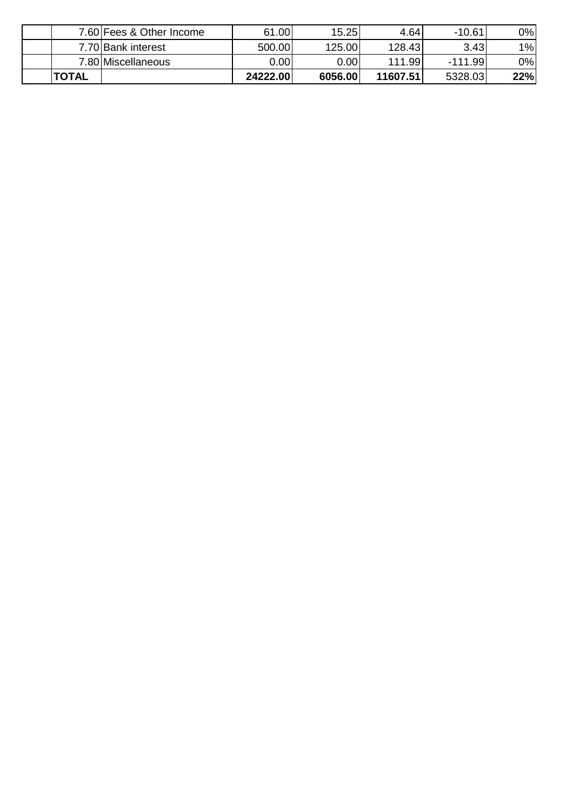| <b>TOTAL</b> |                          | 24222.00 | 6056.00 | 11607.51 | 5328.03   | 22% |
|--------------|--------------------------|----------|---------|----------|-----------|-----|
|              | 7.80 Miscellaneous       | 0.00     | 0.00    | 111.99   | $-111.99$ | 0%  |
|              | 7.70 Bank interest       | 500.00   | 125.00  | 128.43   | 3.43      | 1%  |
|              | 7.60 Fees & Other Income | 61.00    | 15.25   | 4.64     | $-10.61$  | 0%  |